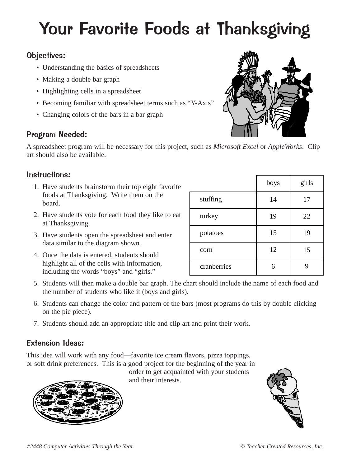# Your Favorite Foods at Thanksgiving

### Objectives:

- Understanding the basics of spreadsheets
- Making a double bar graph
- Highlighting cells in a spreadsheet
- Becoming familiar with spreadsheet terms such as "Y-Axis"
- Changing colors of the bars in a bar graph

## Program Needed:

A spreadsheet program will be necessary for this project, such as *Microsoft Excel* or *AppleWorks*. Clip art should also be available.

### Instructions:

- 1. Have students brainstorm their top eight favorite foods at Thanksgiving. Write them on the board.
- 2. Have students vote for each food they like to eat at Thanksgiving.
- 3. Have students open the spreadsheet and enter data similar to the diagram shown.
- 4. Once the data is entered, students should highlight all of the cells with information, including the words "boys" and "girls."

|             | boys | girls |
|-------------|------|-------|
| stuffing    | 14   | 17    |
| turkey      | 19   | 22    |
| potatoes    | 15   | 19    |
| corn        | 12   | 15    |
| cranberries |      |       |

- 5. Students will then make a double bar graph. The chart should include the name of each food and the number of students who like it (boys and girls).
- 6. Students can change the color and pattern of the bars (most programs do this by double clicking on the pie piece).
- 7. Students should add an appropriate title and clip art and print their work.

## Extension Ideas:

This idea will work with any food—favorite ice cream flavors, pizza toppings, or soft drink preferences. This is a good project for the beginning of the year in

order to get acquainted with your students and their interests.